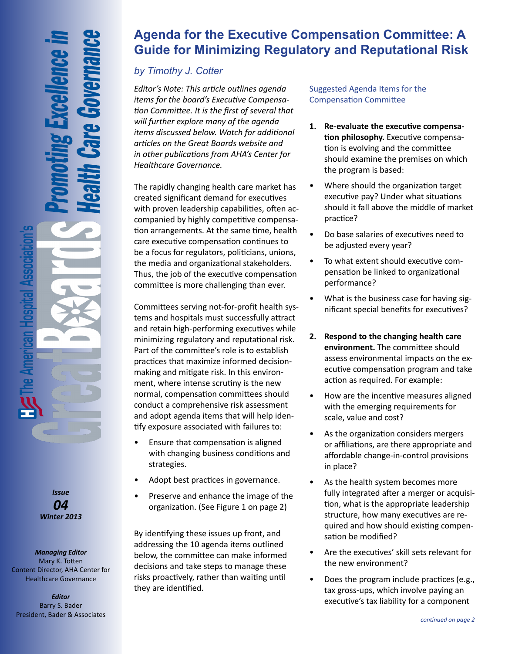*Issue 04 Winter 2013*

*Managing Editor* Mary K. Totten Content Director, AHA Center for Healthcare Governance

*Editor* Barry S. Bader President, Bader & Associates

# **Agenda for the Executive Compensation Committee: A Guide for Minimizing Regulatory and Reputational Risk**

## *by Timothy J. Cotter*

*Editor's Note: This article outlines agenda items for the board's Executive Compensation Committee. It is the first of several that will further explore many of the agenda items discussed below. Watch for additional articles on the Great Boards website and in other publications from AHA's Center for Healthcare Governance.*

The rapidly changing health care market has created significant demand for executives with proven leadership capabilities, often accompanied by highly competitive compensation arrangements. At the same time, health care executive compensation continues to be a focus for regulators, politicians, unions, the media and organizational stakeholders. Thus, the job of the executive compensation committee is more challenging than ever.

Committees serving not-for-profit health systems and hospitals must successfully attract and retain high-performing executives while minimizing regulatory and reputational risk. Part of the committee's role is to establish practices that maximize informed decisionmaking and mitigate risk. In this environment, where intense scrutiny is the new normal, compensation committees should conduct a comprehensive risk assessment and adopt agenda items that will help identify exposure associated with failures to:

- Ensure that compensation is aligned with changing business conditions and strategies.
- Adopt best practices in governance.
- Preserve and enhance the image of the organization. (See Figure 1 on page 2)

By identifying these issues up front, and addressing the 10 agenda items outlined below, the committee can make informed decisions and take steps to manage these risks proactively, rather than waiting until they are identified.

Suggested Agenda Items for the Compensation Committee

- **1. Re-evaluate the executive compensation philosophy.** Executive compensation is evolving and the committee should examine the premises on which the program is based:
- Where should the organization target executive pay? Under what situations should it fall above the middle of market practice?
- Do base salaries of executives need to be adjusted every year?
- To what extent should executive compensation be linked to organizational performance?
- What is the business case for having significant special benefits for executives?
- **2. Respond to the changing health care environment.** The committee should assess environmental impacts on the executive compensation program and take action as required. For example:
- How are the incentive measures aligned with the emerging requirements for scale, value and cost?
- As the organization considers mergers or affiliations, are there appropriate and affordable change-in-control provisions in place?
- As the health system becomes more fully integrated after a merger or acquisition, what is the appropriate leadership structure, how many executives are required and how should existing compensation be modified?
- Are the executives' skill sets relevant for the new environment?
- Does the program include practices (e.g., tax gross-ups, which involve paying an executive's tax liability for a component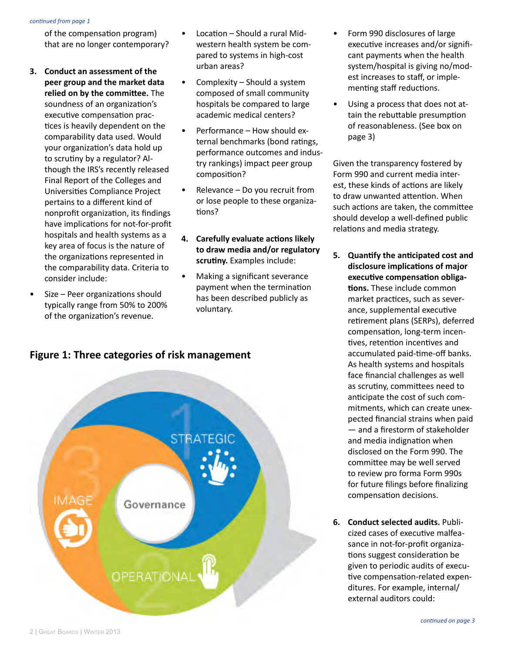#### *continued from page 1*

of the compensation program) that are no longer contemporary?

- **3. Conduct an assessment of the peer group and the market data relied on by the committee.** The soundness of an organization's executive compensation practices is heavily dependent on the comparability data used. Would your organization's data hold up to scrutiny by a regulator? Although the IRS's recently released Final Report of the Colleges and Universities Compliance Project pertains to a different kind of nonprofit organization, its findings have implications for not-for-profit hospitals and health systems as a key area of focus is the nature of the organizations represented in the comparability data. Criteria to consider include:
- Size Peer organizations should typically range from 50% to 200% of the organization's revenue.
- Location Should a rural Midwestern health system be compared to systems in high-cost urban areas?
- Complexity Should a system composed of small community hospitals be compared to large academic medical centers?
- Performance How should external benchmarks (bond ratings, performance outcomes and industry rankings) impact peer group composition?
- Relevance Do you recruit from or lose people to these organizations?
- **4. Carefully evaluate actions likely to draw media and/or regulatory scrutiny.** Examples include:
- Making a significant severance payment when the termination has been described publicly as voluntary.





- Form 990 disclosures of large executive increases and/or significant payments when the health system/hospital is giving no/modest increases to staff, or implementing staff reductions.
- Using a process that does not attain the rebuttable presumption of reasonableness. (See box on page 3)

Given the transparency fostered by Form 990 and current media interest, these kinds of actions are likely to draw unwanted attention. When such actions are taken, the committee should develop a well-defined public relations and media strategy.

- **5. Quantify the anticipated cost and disclosure implications of major executive compensation obligations.** These include common market practices, such as severance, supplemental executive retirement plans (SERPs), deferred compensation, long-term incentives, retention incentives and accumulated paid-time-off banks. As health systems and hospitals face financial challenges as well as scrutiny, committees need to anticipate the cost of such commitments, which can create unexpected financial strains when paid — and a firestorm of stakeholder and media indignation when disclosed on the Form 990. The committee may be well served to review pro forma Form 990s for future filings before finalizing compensation decisions.
- **6. Conduct selected audits.** Publicized cases of executive malfeasance in not-for-profit organizations suggest consideration be given to periodic audits of executive compensation-related expenditures. For example, internal/ external auditors could: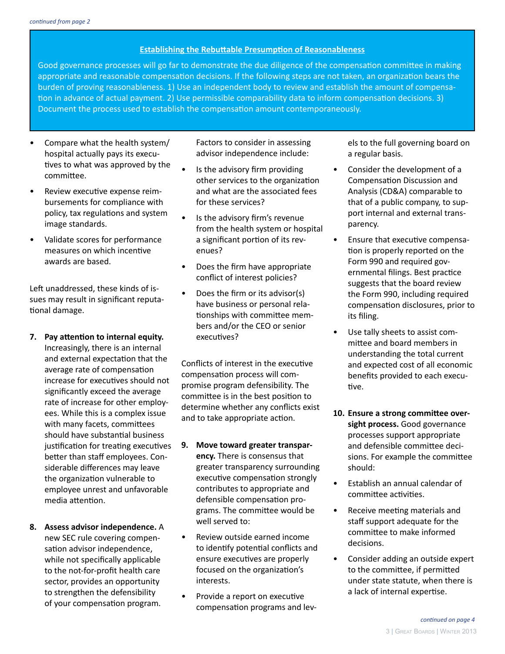## **Establishing the Rebuttable Presumption of Reasonableness**

Good governance processes will go far to demonstrate the due diligence of the compensation committee in making appropriate and reasonable compensation decisions. If the following steps are not taken, an organization bears the burden of proving reasonableness. 1) Use an independent body to review and establish the amount of compensation in advance of actual payment. 2) Use permissible comparability data to inform compensation decisions. 3) Document the process used to establish the compensation amount contemporaneously.

- Compare what the health system/ hospital actually pays its executives to what was approved by the committee.
- Review executive expense reimbursements for compliance with policy, tax regulations and system image standards.
- Validate scores for performance measures on which incentive awards are based.

Left unaddressed, these kinds of issues may result in significant reputational damage.

- **7. Pay attention to internal equity.**  Increasingly, there is an internal and external expectation that the average rate of compensation increase for executives should not significantly exceed the average rate of increase for other employees. While this is a complex issue with many facets, committees should have substantial business justification for treating executives better than staff employees. Considerable differences may leave the organization vulnerable to employee unrest and unfavorable media attention.
- **8. Assess advisor independence.** A new SEC rule covering compensation advisor independence, while not specifically applicable to the not-for-profit health care sector, provides an opportunity to strengthen the defensibility of your compensation program.

Factors to consider in assessing advisor independence include:

- Is the advisory firm providing other services to the organization and what are the associated fees for these services?
- Is the advisory firm's revenue from the health system or hospital a significant portion of its revenues?
- Does the firm have appropriate conflict of interest policies?
- Does the firm or its advisor(s) have business or personal relationships with committee members and/or the CEO or senior executives?

Conflicts of interest in the executive compensation process will compromise program defensibility. The committee is in the best position to determine whether any conflicts exist and to take appropriate action.

- **9. Move toward greater transparency.** There is consensus that greater transparency surrounding executive compensation strongly contributes to appropriate and defensible compensation programs. The committee would be well served to:
- Review outside earned income to identify potential conflicts and ensure executives are properly focused on the organization's interests.
- Provide a report on executive compensation programs and lev-

els to the full governing board on a regular basis.

- Consider the development of a Compensation Discussion and Analysis (CD&A) comparable to that of a public company, to support internal and external transparency.
- Ensure that executive compensation is properly reported on the Form 990 and required governmental filings. Best practice suggests that the board review the Form 990, including required compensation disclosures, prior to its filing.
- Use tally sheets to assist committee and board members in understanding the total current and expected cost of all economic benefits provided to each executive.
- **10. Ensure a strong committee oversight process.** Good governance processes support appropriate and defensible committee decisions. For example the committee should:
- Establish an annual calendar of committee activities.
- Receive meeting materials and staff support adequate for the committee to make informed decisions.
- Consider adding an outside expert to the committee, if permitted under state statute, when there is a lack of internal expertise.